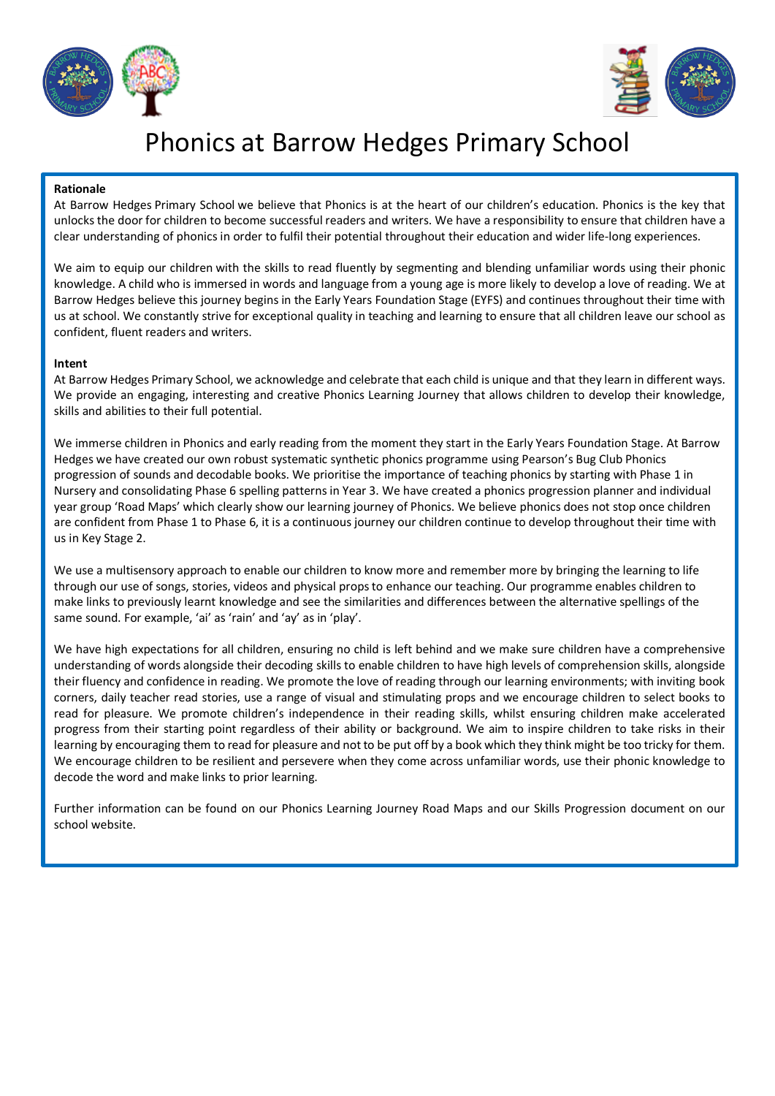



# Phonics at Barrow Hedges Primary School

### **Rationale**

At Barrow Hedges Primary School we believe that Phonics is at the heart of our children's education. Phonics is the key that unlocks the door for children to become successful readers and writers. We have a responsibility to ensure that children have a clear understanding of phonics in order to fulfil their potential throughout their education and wider life-long experiences.

We aim to equip our children with the skills to read fluently by segmenting and blending unfamiliar words using their phonic knowledge. A child who is immersed in words and language from a young age is more likely to develop a love of reading. We at Barrow Hedges believe this journey begins in the Early Years Foundation Stage (EYFS) and continues throughout their time with us at school. We constantly strive for exceptional quality in teaching and learning to ensure that all children leave our school as confident, fluent readers and writers.

## **Intent**

At Barrow Hedges Primary School, we acknowledge and celebrate that each child is unique and that they learn in different ways. We provide an engaging, interesting and creative Phonics Learning Journey that allows children to develop their knowledge, skills and abilities to their full potential.

We immerse children in Phonics and early reading from the moment they start in the Early Years Foundation Stage. At Barrow Hedges we have created our own robust systematic synthetic phonics programme using Pearson's Bug Club Phonics progression of sounds and decodable books. We prioritise the importance of teaching phonics by starting with Phase 1 in Nursery and consolidating Phase 6 spelling patterns in Year 3. We have created a phonics progression planner and individual year group 'Road Maps' which clearly show our learning journey of Phonics. We believe phonics does not stop once children are confident from Phase 1 to Phase 6, it is a continuous journey our children continue to develop throughout their time with us in Key Stage 2.

We use a multisensory approach to enable our children to know more and remember more by bringing the learning to life through our use of songs, stories, videos and physical props to enhance our teaching. Our programme enables children to make links to previously learnt knowledge and see the similarities and differences between the alternative spellings of the same sound. For example, 'ai' as 'rain' and 'ay' as in 'play'.

We have high expectations for all children, ensuring no child is left behind and we make sure children have a comprehensive understanding of words alongside their decoding skills to enable children to have high levels of comprehension skills, alongside their fluency and confidence in reading. We promote the love of reading through our learning environments; with inviting book corners, daily teacher read stories, use a range of visual and stimulating props and we encourage children to select books to read for pleasure. We promote children's independence in their reading skills, whilst ensuring children make accelerated progress from their starting point regardless of their ability or background. We aim to inspire children to take risks in their learning by encouraging them to read for pleasure and not to be put off by a book which they think might be too tricky for them. We encourage children to be resilient and persevere when they come across unfamiliar words, use their phonic knowledge to decode the word and make links to prior learning.

Further information can be found on our Phonics Learning Journey Road Maps and our Skills Progression document on our school website.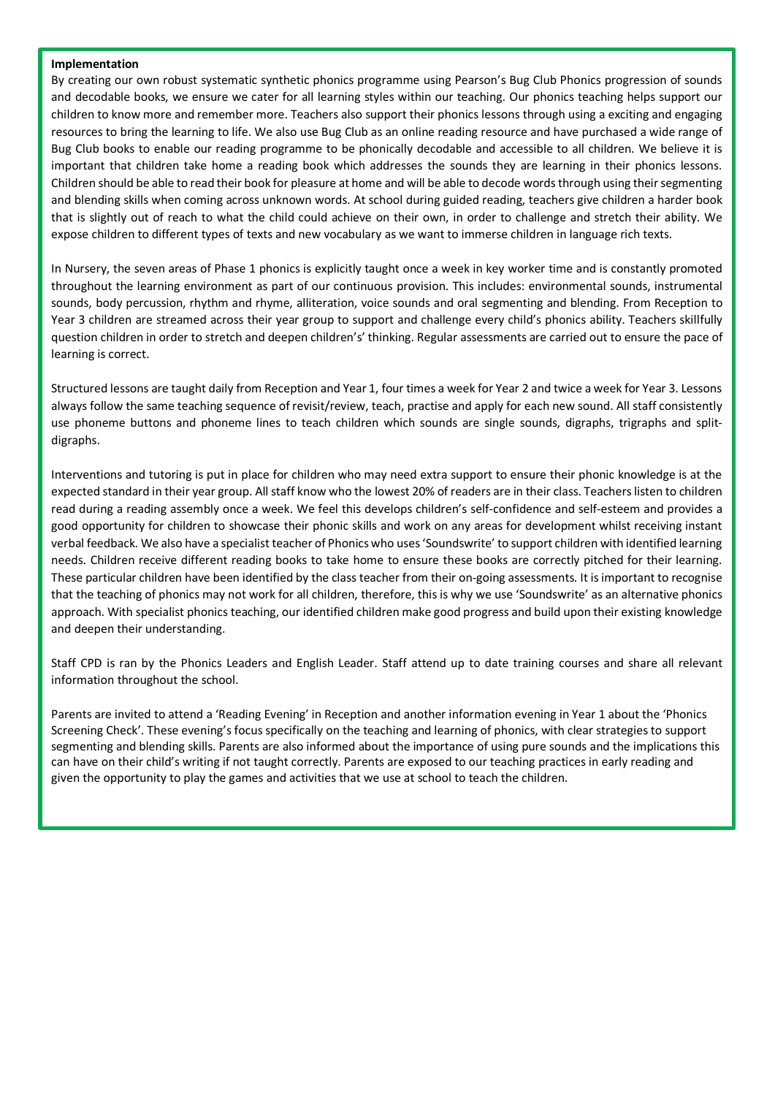#### **Implementation**

By creating our own robust systematic synthetic phonics programme using Pearson's Bug Club Phonics progression of sounds and decodable books, we ensure we cater for all learning styles within our teaching. Our phonics teaching helps support our children to know more and remember more. Teachers also support their phonics lessons through using a exciting and engaging resources to bring the learning to life. We also use Bug Club as an online reading resource and have purchased a wide range of Bug Club books to enable our reading programme to be phonically decodable and accessible to all children. We believe it is important that children take home a reading book which addresses the sounds they are learning in their phonics lessons. Children should be able to read their book for pleasure at home and will be able to decode words through using their segmenting and blending skills when coming across unknown words. At school during guided reading, teachers give children a harder book that is slightly out of reach to what the child could achieve on their own, in order to challenge and stretch their ability. We expose children to different types of texts and new vocabulary as we want to immerse children in language rich texts.

In Nursery, the seven areas of Phase 1 phonics is explicitly taught once a week in key worker time and is constantly promoted throughout the learning environment as part of our continuous provision. This includes: environmental sounds, instrumental sounds, body percussion, rhythm and rhyme, alliteration, voice sounds and oral segmenting and blending. From Reception to Year 3 children are streamed across their year group to support and challenge every child's phonics ability. Teachers skillfully question children in order to stretch and deepen children's' thinking. Regular assessments are carried out to ensure the pace of learning is correct.

Structured lessons are taught daily from Reception and Year 1, four times a week for Year 2 and twice a week for Year 3. Lessons always follow the same teaching sequence of revisit/review, teach, practise and apply for each new sound. All staff consistently use phoneme buttons and phoneme lines to teach children which sounds are single sounds, digraphs, trigraphs and splitdigraphs.

Interventions and tutoring is put in place for children who may need extra support to ensure their phonic knowledge is at the expected standard in their year group. All staff know who the lowest 20% of readers are in their class. Teachers listen to children read during a reading assembly once a week. We feel this develops children's self-confidence and self-esteem and provides a good opportunity for children to showcase their phonic skills and work on any areas for development whilst receiving instant verbal feedback. We also have a specialist teacher of Phonics who uses 'Soundswrite' to support children with identified learning needs. Children receive different reading books to take home to ensure these books are correctly pitched for their learning. These particular children have been identified by the class teacher from their on-going assessments. It is important to recognise that the teaching of phonics may not work for all children, therefore, this is why we use 'Soundswrite' as an alternative phonics approach. With specialist phonics teaching, our identified children make good progress and build upon their existing knowledge and deepen their understanding.

Staff CPD is ran by the Phonics Leaders and English Leader. Staff attend up to date training courses and share all relevant information throughout the school.

Parents are invited to attend a 'Reading Evening' in Reception and another information evening in Year 1 about the 'Phonics Screening Check'. These evening's focus specifically on the teaching and learning of phonics, with clear strategies to support segmenting and blending skills. Parents are also informed about the importance of using pure sounds and the implications this can have on their child's writing if not taught correctly. Parents are exposed to our teaching practices in early reading and given the opportunity to play the games and activities that we use at school to teach the children.